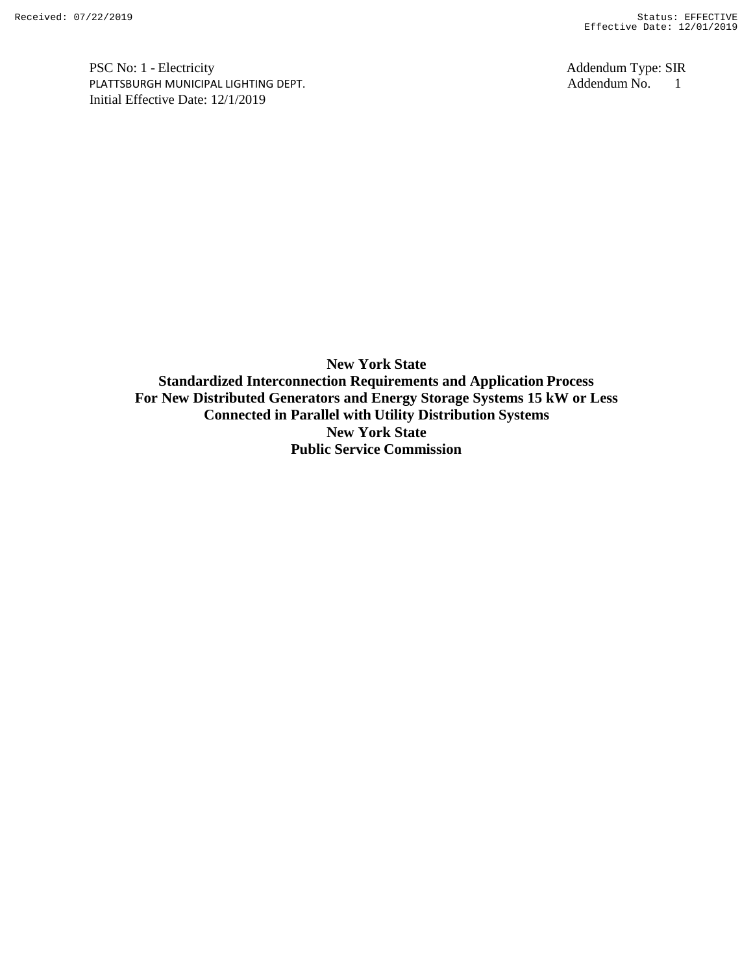PSC No: 1 - Electricity<br>
PLATTSBURGH MUNICIPAL LIGHTING DEPT.<br>
Addendum No. 1 PLATTSBURGH MUNICIPAL LIGHTING DEPT. Addendum No. 1 Initial Effective Date: 12/1/2019

**New York State Standardized Interconnection Requirements and Application Process For New Distributed Generators and Energy Storage Systems 15 kW or Less Connected in Parallel with Utility Distribution Systems New York State Public Service Commission**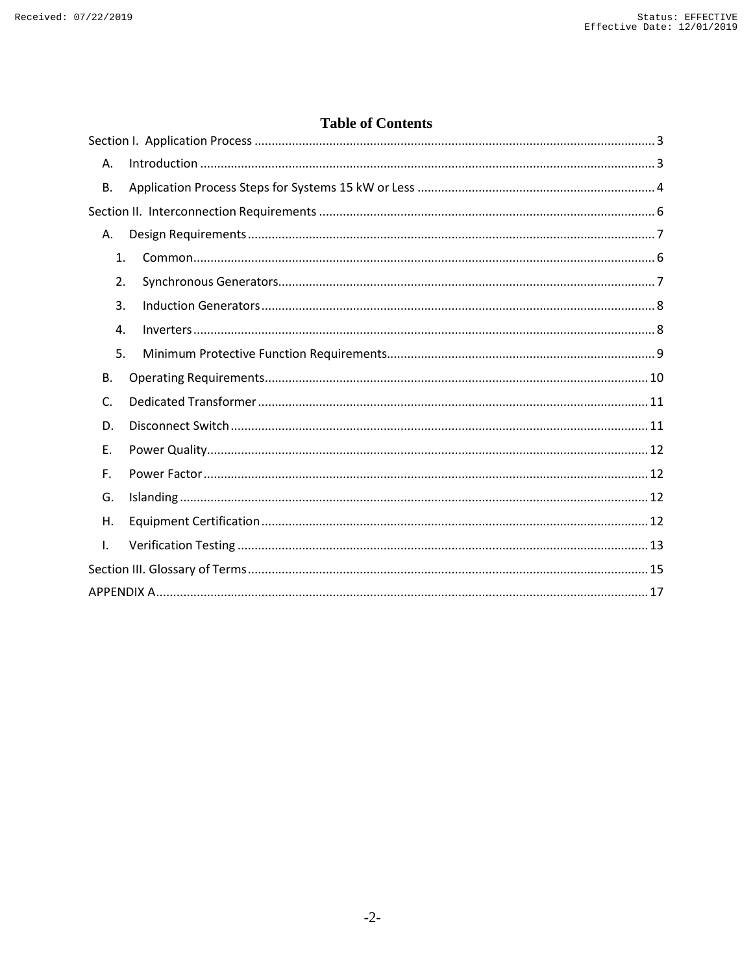# **Table of Contents**

| Α.        |  |
|-----------|--|
| <b>B.</b> |  |
|           |  |
| А.        |  |
| 1.        |  |
| 2.        |  |
| 3.        |  |
| 4.        |  |
| 5.        |  |
| <b>B.</b> |  |
| C.        |  |
| D.        |  |
| Ε.        |  |
| F.        |  |
| G.        |  |
| Η.        |  |
| Ι.        |  |
|           |  |
|           |  |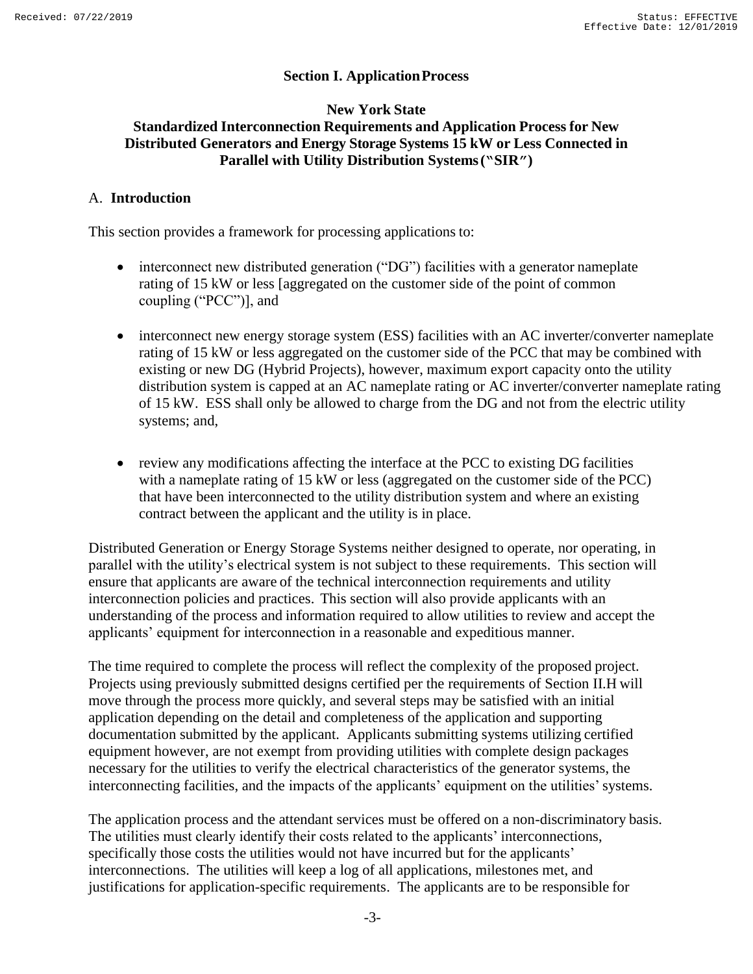## **Section I. ApplicationProcess**

### <span id="page-2-0"></span>**New York State Standardized Interconnection Requirements and Application Process for New Distributed Generators and Energy Storage Systems 15 kW or Less Connected in Parallel with Utility Distribution Systems("SIR")**

#### <span id="page-2-1"></span>A. **Introduction**

This section provides a framework for processing applications to:

- interconnect new distributed generation ("DG") facilities with a generator nameplate rating of 15 kW or less [aggregated on the customer side of the point of common coupling ("PCC")], and
- interconnect new energy storage system (ESS) facilities with an AC inverter/converter nameplate rating of 15 kW or less aggregated on the customer side of the PCC that may be combined with existing or new DG (Hybrid Projects), however, maximum export capacity onto the utility distribution system is capped at an AC nameplate rating or AC inverter/converter nameplate rating of 15 kW. ESS shall only be allowed to charge from the DG and not from the electric utility systems; and,
- review any modifications affecting the interface at the PCC to existing DG facilities with a nameplate rating of 15 kW or less (aggregated on the customer side of the PCC) that have been interconnected to the utility distribution system and where an existing contract between the applicant and the utility is in place.

Distributed Generation or Energy Storage Systems neither designed to operate, nor operating, in parallel with the utility's electrical system is not subject to these requirements. This section will ensure that applicants are aware of the technical interconnection requirements and utility interconnection policies and practices. This section will also provide applicants with an understanding of the process and information required to allow utilities to review and accept the applicants' equipment for interconnection in a reasonable and expeditious manner.

The time required to complete the process will reflect the complexity of the proposed project. Projects using previously submitted designs certified per the requirements of Section II.H will move through the process more quickly, and several steps may be satisfied with an initial application depending on the detail and completeness of the application and supporting documentation submitted by the applicant. Applicants submitting systems utilizing certified equipment however, are not exempt from providing utilities with complete design packages necessary for the utilities to verify the electrical characteristics of the generator systems, the interconnecting facilities, and the impacts of the applicants' equipment on the utilities'systems.

The application process and the attendant services must be offered on a non-discriminatory basis. The utilities must clearly identify their costs related to the applicants' interconnections, specifically those costs the utilities would not have incurred but for the applicants' interconnections. The utilities will keep a log of all applications, milestones met, and justifications for application-specific requirements. The applicants are to be responsible for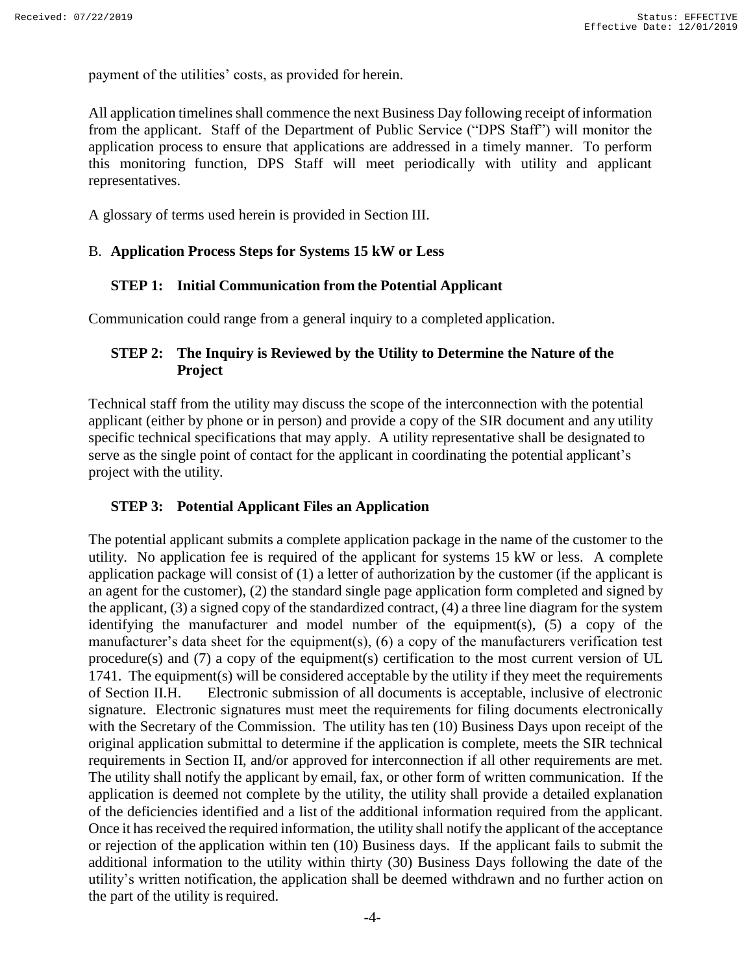payment of the utilities' costs, as provided for herein.

All application timelines shall commence the next Business Day following receipt of information from the applicant. Staff of the Department of Public Service ("DPS Staff") will monitor the application process to ensure that applications are addressed in a timely manner. To perform this monitoring function, DPS Staff will meet periodically with utility and applicant representatives.

A glossary of terms used herein is provided in Section III.

#### <span id="page-3-0"></span>B. **Application Process Steps for Systems 15 kW or Less**

#### **STEP 1: Initial Communication from the Potential Applicant**

Communication could range from a general inquiry to a completed application.

## **STEP 2: The Inquiry is Reviewed by the Utility to Determine the Nature of the Project**

Technical staff from the utility may discuss the scope of the interconnection with the potential applicant (either by phone or in person) and provide a copy of the SIR document and any utility specific technical specifications that may apply. A utility representative shall be designated to serve as the single point of contact for the applicant in coordinating the potential applicant's project with the utility.

#### **STEP 3: Potential Applicant Files an Application**

The potential applicant submits a complete application package in the name of the customer to the utility. No application fee is required of the applicant for systems 15 kW or less. A complete application package will consist of (1) a letter of authorization by the customer (if the applicant is an agent for the customer), (2) the standard single page application form completed and signed by the applicant, (3) a signed copy of the standardized contract, (4) a three line diagram for the system identifying the manufacturer and model number of the equipment(s), (5) a copy of the manufacturer's data sheet for the equipment(s), (6) a copy of the manufacturers verification test procedure(s) and (7) a copy of the equipment(s) certification to the most current version of UL 1741. The equipment(s) will be considered acceptable by the utility if they meet the requirements of Section II.H. Electronic submission of all documents is acceptable, inclusive of electronic signature. Electronic signatures must meet the requirements for filing documents electronically with the Secretary of the Commission. The utility has ten (10) Business Days upon receipt of the original application submittal to determine if the application is complete, meets the SIR technical requirements in Section II, and/or approved for interconnection if all other requirements are met. The utility shall notify the applicant by email, fax, or other form of written communication. If the application is deemed not complete by the utility, the utility shall provide a detailed explanation of the deficiencies identified and a list of the additional information required from the applicant. Once it has received the required information, the utility shall notify the applicant of the acceptance or rejection of the application within ten (10) Business days. If the applicant fails to submit the additional information to the utility within thirty (30) Business Days following the date of the utility's written notification, the application shall be deemed withdrawn and no further action on the part of the utility is required.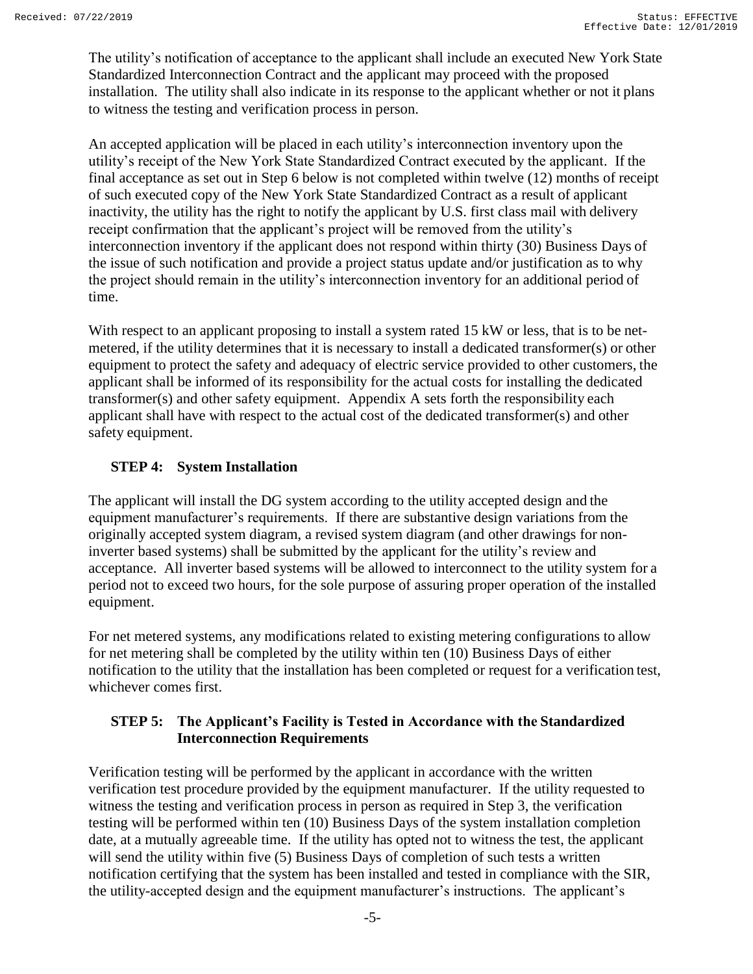The utility's notification of acceptance to the applicant shall include an executed New York State Standardized Interconnection Contract and the applicant may proceed with the proposed installation. The utility shall also indicate in its response to the applicant whether or not it plans to witness the testing and verification process in person.

An accepted application will be placed in each utility's interconnection inventory upon the utility's receipt of the New York State Standardized Contract executed by the applicant. If the final acceptance as set out in Step 6 below is not completed within twelve (12) months of receipt of such executed copy of the New York State Standardized Contract as a result of applicant inactivity, the utility has the right to notify the applicant by U.S. first class mail with delivery receipt confirmation that the applicant's project will be removed from the utility's interconnection inventory if the applicant does not respond within thirty (30) Business Days of the issue of such notification and provide a project status update and/or justification as to why the project should remain in the utility's interconnection inventory for an additional period of time.

With respect to an applicant proposing to install a system rated 15 kW or less, that is to be netmetered, if the utility determines that it is necessary to install a dedicated transformer(s) or other equipment to protect the safety and adequacy of electric service provided to other customers, the applicant shall be informed of its responsibility for the actual costs for installing the dedicated transformer(s) and other safety equipment. Appendix A sets forth the responsibility each applicant shall have with respect to the actual cost of the dedicated transformer(s) and other safety equipment.

# **STEP 4: System Installation**

The applicant will install the DG system according to the utility accepted design and the equipment manufacturer's requirements. If there are substantive design variations from the originally accepted system diagram, a revised system diagram (and other drawings for noninverter based systems) shall be submitted by the applicant for the utility's review and acceptance. All inverter based systems will be allowed to interconnect to the utility system for a period not to exceed two hours, for the sole purpose of assuring proper operation of the installed equipment.

For net metered systems, any modifications related to existing metering configurations to allow for net metering shall be completed by the utility within ten (10) Business Days of either notification to the utility that the installation has been completed or request for a verification test, whichever comes first.

### **STEP 5: The Applicant's Facility is Tested in Accordance with the Standardized Interconnection Requirements**

Verification testing will be performed by the applicant in accordance with the written verification test procedure provided by the equipment manufacturer. If the utility requested to witness the testing and verification process in person as required in Step 3, the verification testing will be performed within ten (10) Business Days of the system installation completion date, at a mutually agreeable time. If the utility has opted not to witness the test, the applicant will send the utility within five (5) Business Days of completion of such tests a written notification certifying that the system has been installed and tested in compliance with the SIR, the utility-accepted design and the equipment manufacturer's instructions. The applicant's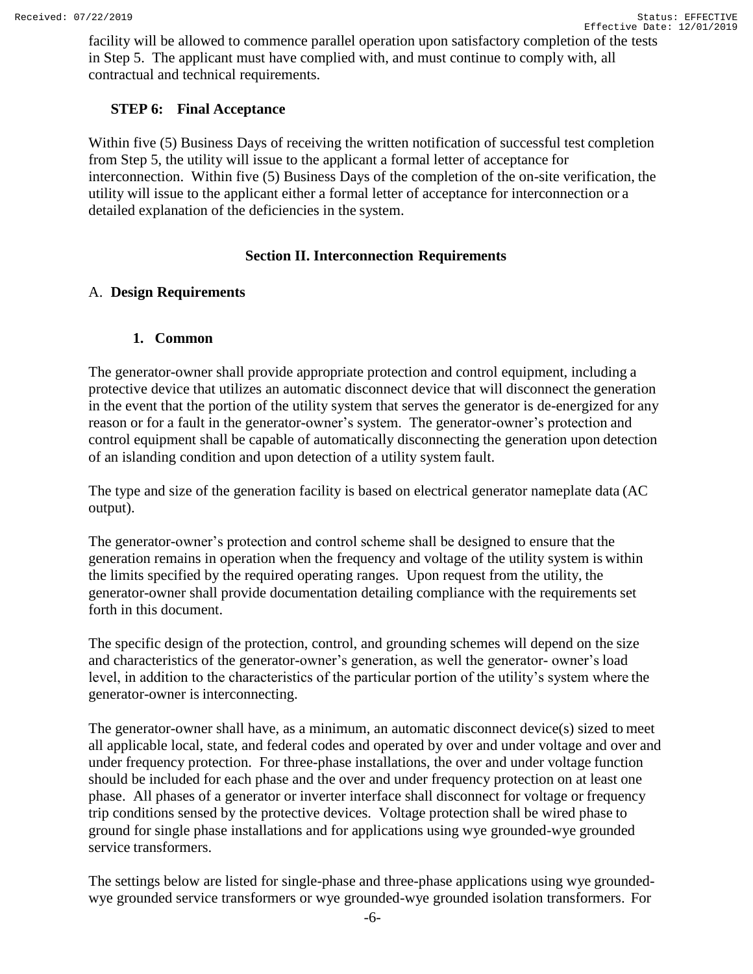facility will be allowed to commence parallel operation upon satisfactory completion of the tests in Step 5. The applicant must have complied with, and must continue to comply with, all contractual and technical requirements.

#### **STEP 6: Final Acceptance**

Within five (5) Business Days of receiving the written notification of successful test completion from Step 5, the utility will issue to the applicant a formal letter of acceptance for interconnection. Within five (5) Business Days of the completion of the on-site verification, the utility will issue to the applicant either a formal letter of acceptance for interconnection or a detailed explanation of the deficiencies in the system.

### **Section II. Interconnection Requirements**

### <span id="page-5-2"></span><span id="page-5-1"></span><span id="page-5-0"></span>A. **Design Requirements**

### **1. Common**

The generator-owner shall provide appropriate protection and control equipment, including a protective device that utilizes an automatic disconnect device that will disconnect the generation in the event that the portion of the utility system that serves the generator is de-energized for any reason or for a fault in the generator-owner's system. The generator-owner's protection and control equipment shall be capable of automatically disconnecting the generation upon detection of an islanding condition and upon detection of a utility system fault.

The type and size of the generation facility is based on electrical generator nameplate data (AC output).

The generator-owner's protection and control scheme shall be designed to ensure that the generation remains in operation when the frequency and voltage of the utility system is within the limits specified by the required operating ranges. Upon request from the utility, the generator-owner shall provide documentation detailing compliance with the requirements set forth in this document.

The specific design of the protection, control, and grounding schemes will depend on the size and characteristics of the generator-owner's generation, as well the generator- owner's load level, in addition to the characteristics of the particular portion of the utility's system where the generator-owner is interconnecting.

The generator-owner shall have, as a minimum, an automatic disconnect device(s) sized to meet all applicable local, state, and federal codes and operated by over and under voltage and over and under frequency protection. For three-phase installations, the over and under voltage function should be included for each phase and the over and under frequency protection on at least one phase. All phases of a generator or inverter interface shall disconnect for voltage or frequency trip conditions sensed by the protective devices. Voltage protection shall be wired phase to ground for single phase installations and for applications using wye grounded-wye grounded service transformers.

The settings below are listed for single-phase and three-phase applications using wye groundedwye grounded service transformers or wye grounded-wye grounded isolation transformers. For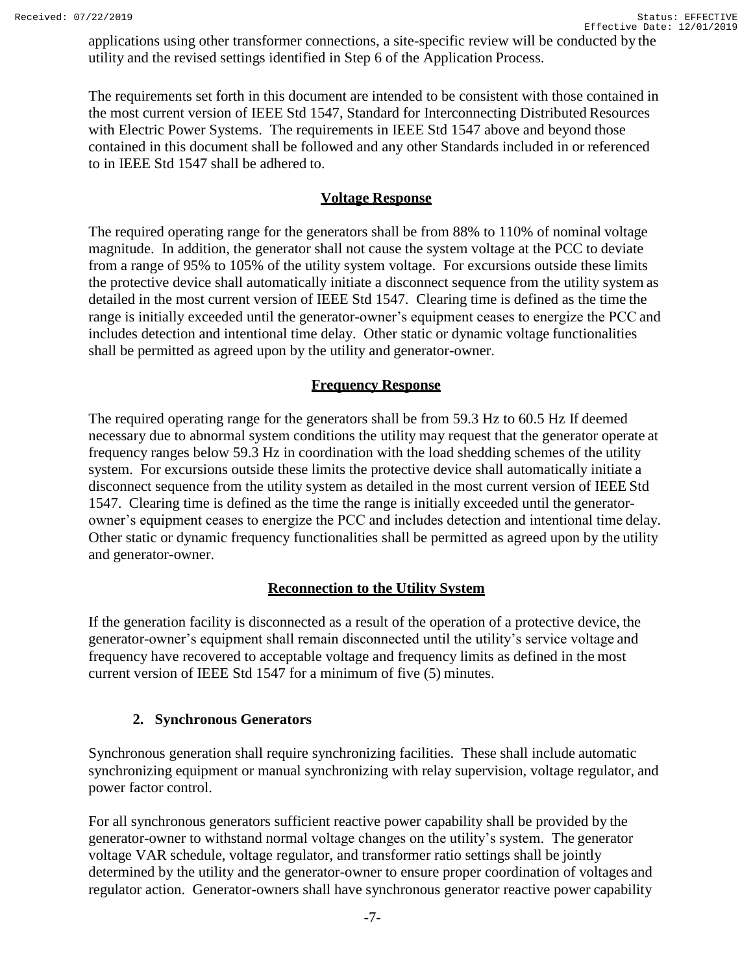applications using other transformer connections, a site-specific review will be conducted by the utility and the revised settings identified in Step 6 of the Application Process.

The requirements set forth in this document are intended to be consistent with those contained in the most current version of IEEE Std 1547, Standard for Interconnecting Distributed Resources with Electric Power Systems. The requirements in IEEE Std 1547 above and beyond those contained in this document shall be followed and any other Standards included in or referenced to in IEEE Std 1547 shall be adhered to.

# **Voltage Response**

The required operating range for the generators shall be from 88% to 110% of nominal voltage magnitude. In addition, the generator shall not cause the system voltage at the PCC to deviate from a range of 95% to 105% of the utility system voltage. For excursions outside these limits the protective device shall automatically initiate a disconnect sequence from the utility system as detailed in the most current version of IEEE Std 1547. Clearing time is defined as the time the range is initially exceeded until the generator-owner's equipment ceases to energize the PCC and includes detection and intentional time delay. Other static or dynamic voltage functionalities shall be permitted as agreed upon by the utility and generator-owner.

# **Frequency Response**

The required operating range for the generators shall be from 59.3 Hz to 60.5 Hz If deemed necessary due to abnormal system conditions the utility may request that the generator operate at frequency ranges below 59.3 Hz in coordination with the load shedding schemes of the utility system. For excursions outside these limits the protective device shall automatically initiate a disconnect sequence from the utility system as detailed in the most current version of IEEE Std 1547. Clearing time is defined as the time the range is initially exceeded until the generatorowner's equipment ceases to energize the PCC and includes detection and intentional time delay. Other static or dynamic frequency functionalities shall be permitted as agreed upon by the utility and generator-owner.

# **Reconnection to the Utility System**

If the generation facility is disconnected as a result of the operation of a protective device, the generator-owner's equipment shall remain disconnected until the utility's service voltage and frequency have recovered to acceptable voltage and frequency limits as defined in the most current version of IEEE Std 1547 for a minimum of five (5) minutes.

# **2. Synchronous Generators**

<span id="page-6-0"></span>Synchronous generation shall require synchronizing facilities. These shall include automatic synchronizing equipment or manual synchronizing with relay supervision, voltage regulator, and power factor control.

For all synchronous generators sufficient reactive power capability shall be provided by the generator-owner to withstand normal voltage changes on the utility's system. The generator voltage VAR schedule, voltage regulator, and transformer ratio settings shall be jointly determined by the utility and the generator-owner to ensure proper coordination of voltages and regulator action. Generator-owners shall have synchronous generator reactive power capability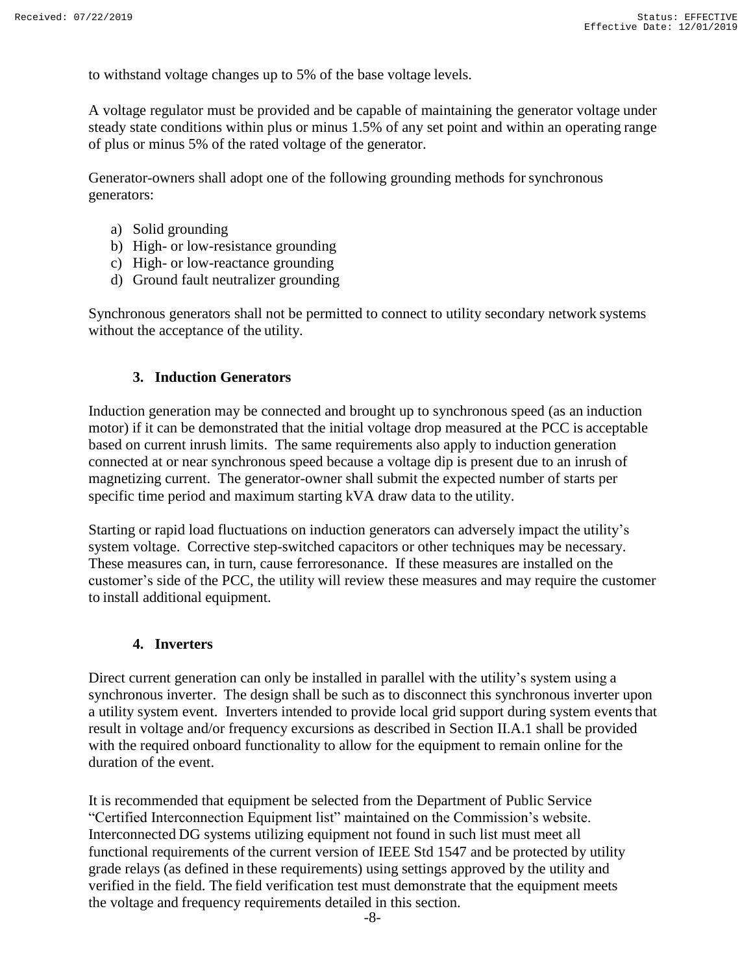to withstand voltage changes up to 5% of the base voltage levels.

A voltage regulator must be provided and be capable of maintaining the generator voltage under steady state conditions within plus or minus 1.5% of any set point and within an operating range of plus or minus 5% of the rated voltage of the generator.

Generator-owners shall adopt one of the following grounding methods for synchronous generators:

- a) Solid grounding
- b) High- or low-resistance grounding
- c) High- or low-reactance grounding
- d) Ground fault neutralizer grounding

Synchronous generators shall not be permitted to connect to utility secondary network systems without the acceptance of the utility.

#### **3. Induction Generators**

<span id="page-7-0"></span>Induction generation may be connected and brought up to synchronous speed (as an induction motor) if it can be demonstrated that the initial voltage drop measured at the PCC is acceptable based on current inrush limits. The same requirements also apply to induction generation connected at or near synchronous speed because a voltage dip is present due to an inrush of magnetizing current. The generator-owner shall submit the expected number of starts per specific time period and maximum starting kVA draw data to the utility.

Starting or rapid load fluctuations on induction generators can adversely impact the utility's system voltage. Corrective step-switched capacitors or other techniques may be necessary. These measures can, in turn, cause ferroresonance. If these measures are installed on the customer's side of the PCC, the utility will review these measures and may require the customer to install additional equipment.

#### **4. Inverters**

<span id="page-7-1"></span>Direct current generation can only be installed in parallel with the utility's system using a synchronous inverter. The design shall be such as to disconnect this synchronous inverter upon a utility system event. Inverters intended to provide local grid support during system events that result in voltage and/or frequency excursions as described in Section II.A.1 shall be provided with the required onboard functionality to allow for the equipment to remain online for the duration of the event.

It is recommended that equipment be selected from the Department of Public Service "Certified Interconnection Equipment list" maintained on the Commission's website. Interconnected DG systems utilizing equipment not found in such list must meet all functional requirements of the current version of IEEE Std 1547 and be protected by utility grade relays (as defined in these requirements) using settings approved by the utility and verified in the field. The field verification test must demonstrate that the equipment meets the voltage and frequency requirements detailed in this section.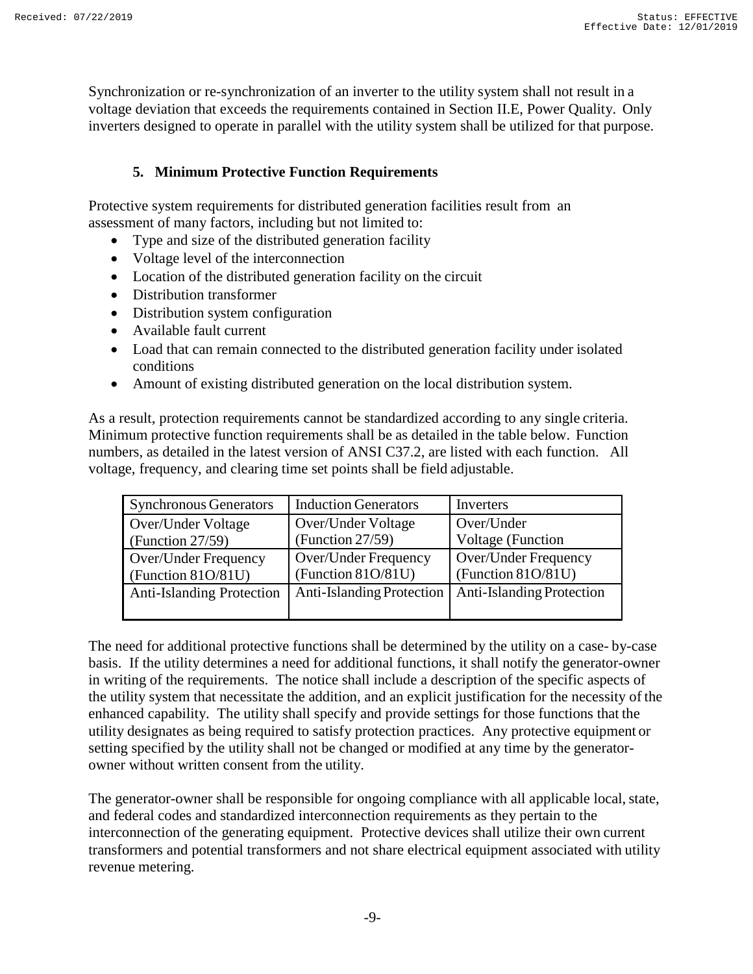Synchronization or re-synchronization of an inverter to the utility system shall not result in a voltage deviation that exceeds the requirements contained in Section II.E, Power Quality. Only inverters designed to operate in parallel with the utility system shall be utilized for that purpose.

# **5. Minimum Protective Function Requirements**

<span id="page-8-0"></span>Protective system requirements for distributed generation facilities result from an assessment of many factors, including but not limited to:

- Type and size of the distributed generation facility
- Voltage level of the interconnection
- Location of the distributed generation facility on the circuit
- Distribution transformer
- Distribution system configuration
- Available fault current
- Load that can remain connected to the distributed generation facility under isolated conditions
- Amount of existing distributed generation on the local distribution system.

As a result, protection requirements cannot be standardized according to any single criteria. Minimum protective function requirements shall be as detailed in the table below. Function numbers, as detailed in the latest version of ANSI C37.2, are listed with each function. All voltage, frequency, and clearing time set points shall be field adjustable.

| <b>Synchronous Generators</b>    | <b>Induction Generators</b> | Inverters                 |
|----------------------------------|-----------------------------|---------------------------|
| Over/Under Voltage               | Over/Under Voltage          | Over/Under                |
| (Function $27/59$ )              | (Function $27/59$ )         | <b>Voltage</b> (Function  |
| Over/Under Frequency             | Over/Under Frequency        | Over/Under Frequency      |
| (Function 81O/81U)               | (Function 81O/81U)          | (Function $81O/81U$ )     |
| <b>Anti-Islanding Protection</b> | Anti-Islanding Protection   | Anti-Islanding Protection |

The need for additional protective functions shall be determined by the utility on a case- by-case basis. If the utility determines a need for additional functions, it shall notify the generator-owner in writing of the requirements. The notice shall include a description of the specific aspects of the utility system that necessitate the addition, and an explicit justification for the necessity of the enhanced capability. The utility shall specify and provide settings for those functions that the utility designates as being required to satisfy protection practices. Any protective equipment or setting specified by the utility shall not be changed or modified at any time by the generatorowner without written consent from the utility.

The generator-owner shall be responsible for ongoing compliance with all applicable local, state, and federal codes and standardized interconnection requirements as they pertain to the interconnection of the generating equipment. Protective devices shall utilize their own current transformers and potential transformers and not share electrical equipment associated with utility revenue metering.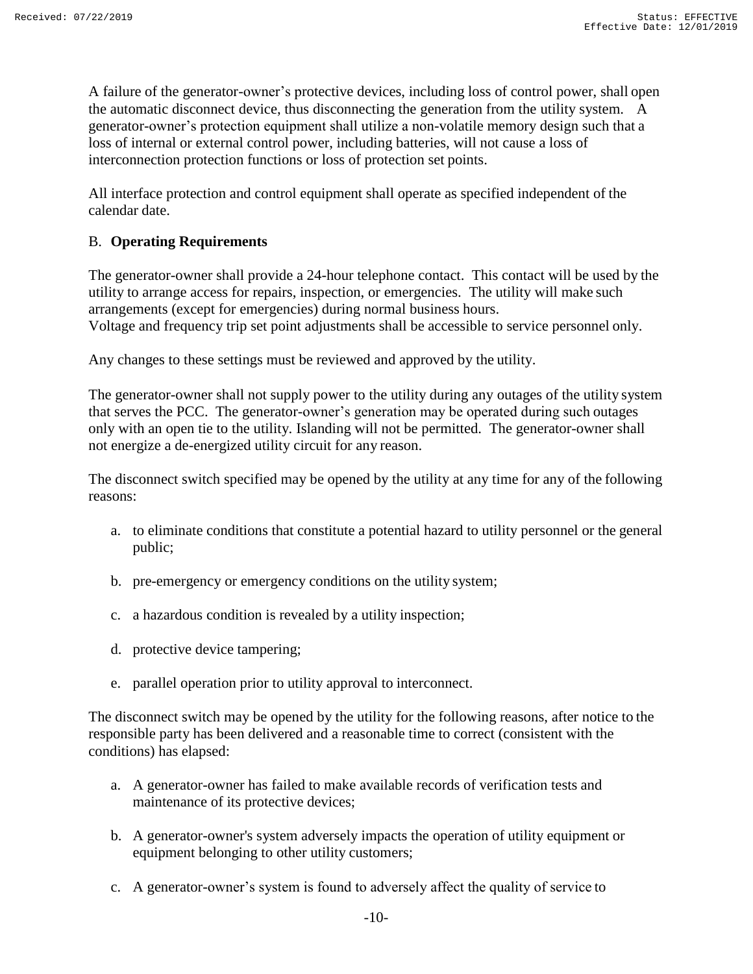A failure of the generator-owner's protective devices, including loss of control power, shall open the automatic disconnect device, thus disconnecting the generation from the utility system. A generator-owner's protection equipment shall utilize a non-volatile memory design such that a loss of internal or external control power, including batteries, will not cause a loss of interconnection protection functions or loss of protection set points.

All interface protection and control equipment shall operate as specified independent of the calendar date.

#### <span id="page-9-0"></span>B. **Operating Requirements**

The generator-owner shall provide a 24-hour telephone contact. This contact will be used by the utility to arrange access for repairs, inspection, or emergencies. The utility will make such arrangements (except for emergencies) during normal business hours. Voltage and frequency trip set point adjustments shall be accessible to service personnel only.

Any changes to these settings must be reviewed and approved by the utility.

The generator-owner shall not supply power to the utility during any outages of the utility system that serves the PCC. The generator-owner's generation may be operated during such outages only with an open tie to the utility. Islanding will not be permitted. The generator-owner shall not energize a de-energized utility circuit for any reason.

The disconnect switch specified may be opened by the utility at any time for any of the following reasons:

- a. to eliminate conditions that constitute a potential hazard to utility personnel or the general public;
- b. pre-emergency or emergency conditions on the utility system;
- c. a hazardous condition is revealed by a utility inspection;
- d. protective device tampering;
- e. parallel operation prior to utility approval to interconnect.

The disconnect switch may be opened by the utility for the following reasons, after notice to the responsible party has been delivered and a reasonable time to correct (consistent with the conditions) has elapsed:

- a. A generator-owner has failed to make available records of verification tests and maintenance of its protective devices;
- b. A generator-owner's system adversely impacts the operation of utility equipment or equipment belonging to other utility customers;
- c. A generator-owner's system is found to adversely affect the quality of service to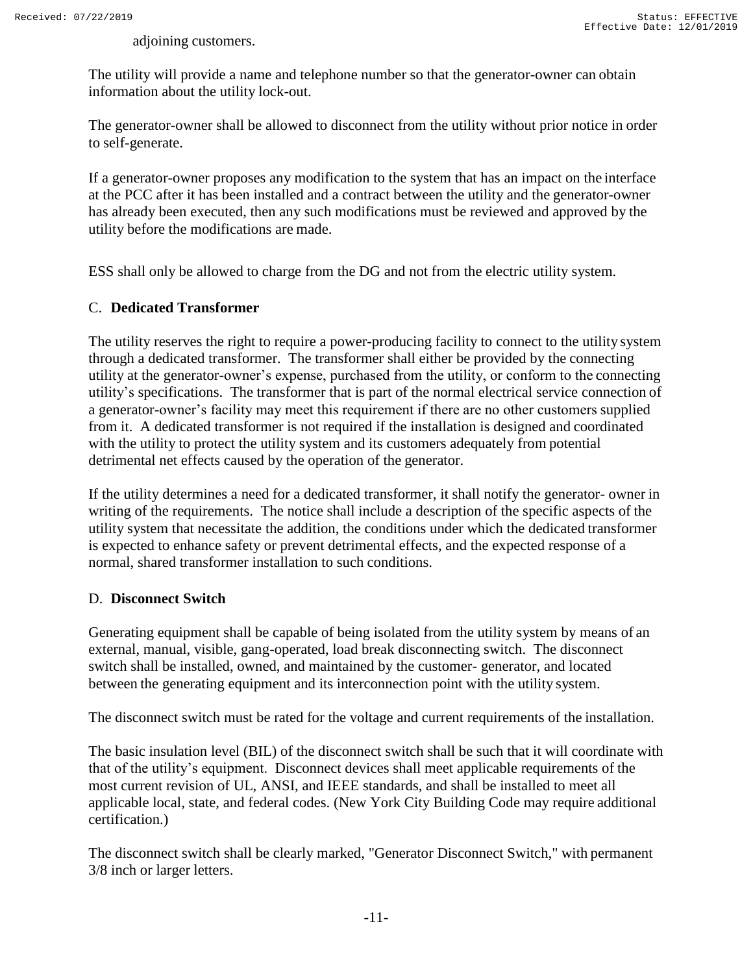adjoining customers.

The utility will provide a name and telephone number so that the generator-owner can obtain information about the utility lock-out.

The generator-owner shall be allowed to disconnect from the utility without prior notice in order to self-generate.

If a generator-owner proposes any modification to the system that has an impact on the interface at the PCC after it has been installed and a contract between the utility and the generator-owner has already been executed, then any such modifications must be reviewed and approved by the utility before the modifications are made.

ESS shall only be allowed to charge from the DG and not from the electric utility system.

### <span id="page-10-0"></span>C. **Dedicated Transformer**

The utility reserves the right to require a power-producing facility to connect to the utility system through a dedicated transformer. The transformer shall either be provided by the connecting utility at the generator-owner's expense, purchased from the utility, or conform to the connecting utility's specifications. The transformer that is part of the normal electrical service connection of a generator-owner's facility may meet this requirement if there are no other customers supplied from it. A dedicated transformer is not required if the installation is designed and coordinated with the utility to protect the utility system and its customers adequately from potential detrimental net effects caused by the operation of the generator.

If the utility determines a need for a dedicated transformer, it shall notify the generator- owner in writing of the requirements. The notice shall include a description of the specific aspects of the utility system that necessitate the addition, the conditions under which the dedicated transformer is expected to enhance safety or prevent detrimental effects, and the expected response of a normal, shared transformer installation to such conditions.

#### <span id="page-10-1"></span>D. **Disconnect Switch**

Generating equipment shall be capable of being isolated from the utility system by means of an external, manual, visible, gang-operated, load break disconnecting switch. The disconnect switch shall be installed, owned, and maintained by the customer- generator, and located between the generating equipment and its interconnection point with the utility system.

The disconnect switch must be rated for the voltage and current requirements of the installation.

The basic insulation level (BIL) of the disconnect switch shall be such that it will coordinate with that of the utility's equipment. Disconnect devices shall meet applicable requirements of the most current revision of UL, ANSI, and IEEE standards, and shall be installed to meet all applicable local, state, and federal codes. (New York City Building Code may require additional certification.)

The disconnect switch shall be clearly marked, "Generator Disconnect Switch," with permanent 3/8 inch or larger letters.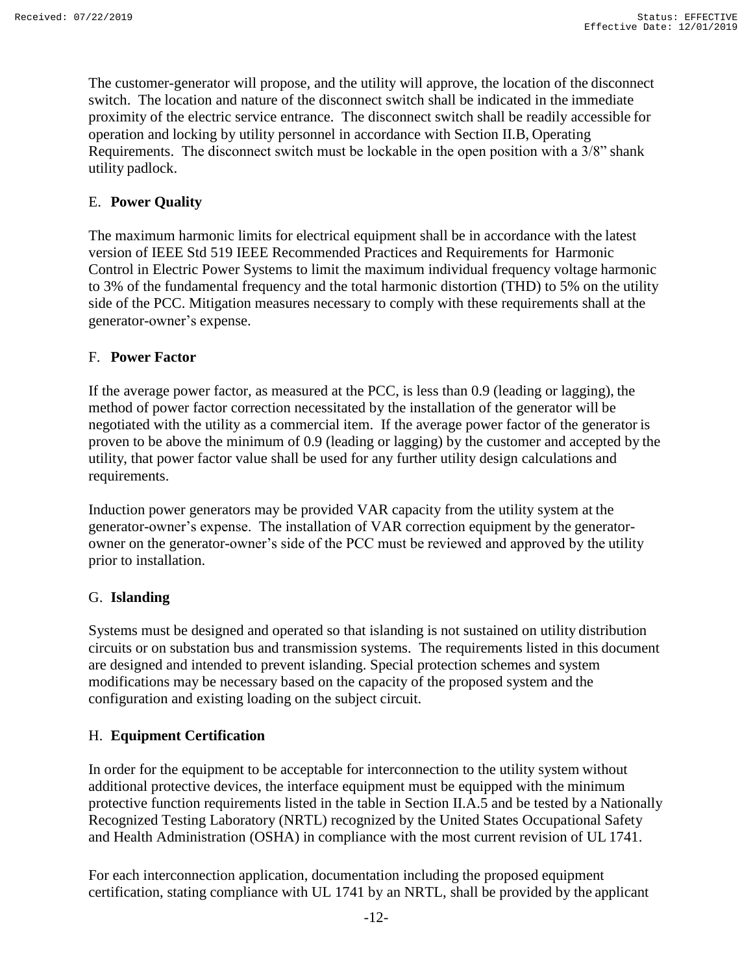The customer-generator will propose, and the utility will approve, the location of the disconnect switch. The location and nature of the disconnect switch shall be indicated in the immediate proximity of the electric service entrance. The disconnect switch shall be readily accessible for operation and locking by utility personnel in accordance with Section II.B, Operating Requirements. The disconnect switch must be lockable in the open position with a 3/8" shank utility padlock.

# <span id="page-11-0"></span>E. **Power Quality**

The maximum harmonic limits for electrical equipment shall be in accordance with the latest version of IEEE Std 519 IEEE Recommended Practices and Requirements for Harmonic Control in Electric Power Systems to limit the maximum individual frequency voltage harmonic to 3% of the fundamental frequency and the total harmonic distortion (THD) to 5% on the utility side of the PCC. Mitigation measures necessary to comply with these requirements shall at the generator-owner's expense.

### <span id="page-11-1"></span>F. **Power Factor**

If the average power factor, as measured at the PCC, is less than 0.9 (leading or lagging), the method of power factor correction necessitated by the installation of the generator will be negotiated with the utility as a commercial item. If the average power factor of the generator is proven to be above the minimum of 0.9 (leading or lagging) by the customer and accepted by the utility, that power factor value shall be used for any further utility design calculations and requirements.

Induction power generators may be provided VAR capacity from the utility system at the generator-owner's expense. The installation of VAR correction equipment by the generatorowner on the generator-owner's side of the PCC must be reviewed and approved by the utility prior to installation.

#### <span id="page-11-2"></span>G. **Islanding**

Systems must be designed and operated so that islanding is not sustained on utility distribution circuits or on substation bus and transmission systems. The requirements listed in this document are designed and intended to prevent islanding. Special protection schemes and system modifications may be necessary based on the capacity of the proposed system and the configuration and existing loading on the subject circuit.

#### <span id="page-11-3"></span>H. **Equipment Certification**

In order for the equipment to be acceptable for interconnection to the utility system without additional protective devices, the interface equipment must be equipped with the minimum protective function requirements listed in the table in Section II.A.5 and be tested by a Nationally Recognized Testing Laboratory (NRTL) recognized by the United States Occupational Safety and Health Administration (OSHA) in compliance with the most current revision of UL 1741.

For each interconnection application, documentation including the proposed equipment certification, stating compliance with UL 1741 by an NRTL, shall be provided by the applicant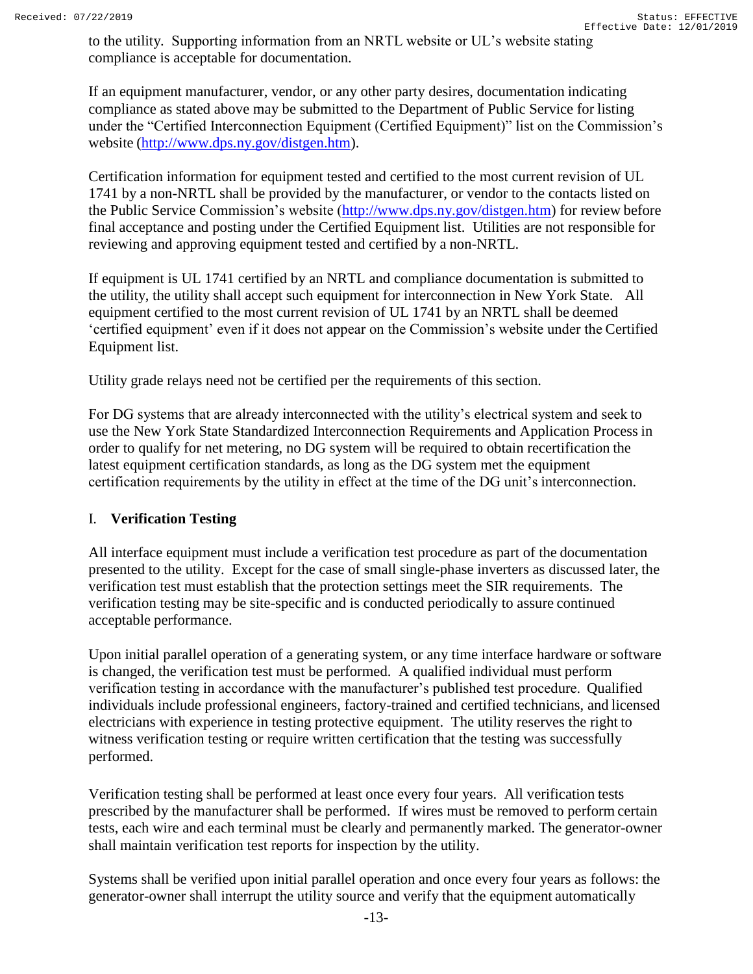to the utility. Supporting information from an NRTL website or UL's website stating compliance is acceptable for documentation.

If an equipment manufacturer, vendor, or any other party desires, documentation indicating compliance as stated above may be submitted to the Department of Public Service for listing under the "Certified Interconnection Equipment (Certified Equipment)" list on the Commission's website [\(http://www.dps.ny.gov/distgen.htm\)](http://www.dps.ny.gov/distgen.htm).

Certification information for equipment tested and certified to the most current revision of UL 1741 by a non-NRTL shall be provided by the manufacturer, or vendor to the contacts listed on the Public Service Commission's website [\(http://www.dps.ny.gov/distgen.htm\)](http://www.dps.ny.gov/distgen.htm) for review before final acceptance and posting under the Certified Equipment list. Utilities are not responsible for reviewing and approving equipment tested and certified by a non-NRTL.

If equipment is UL 1741 certified by an NRTL and compliance documentation is submitted to the utility, the utility shall accept such equipment for interconnection in New York State. All equipment certified to the most current revision of UL 1741 by an NRTL shall be deemed 'certified equipment' even if it does not appear on the Commission's website under the Certified Equipment list.

Utility grade relays need not be certified per the requirements of this section.

For DG systems that are already interconnected with the utility's electrical system and seek to use the New York State Standardized Interconnection Requirements and Application Process in order to qualify for net metering, no DG system will be required to obtain recertification the latest equipment certification standards, as long as the DG system met the equipment certification requirements by the utility in effect at the time of the DG unit's interconnection.

#### <span id="page-12-0"></span>I. **Verification Testing**

All interface equipment must include a verification test procedure as part of the documentation presented to the utility. Except for the case of small single-phase inverters as discussed later, the verification test must establish that the protection settings meet the SIR requirements. The verification testing may be site-specific and is conducted periodically to assure continued acceptable performance.

Upon initial parallel operation of a generating system, or any time interface hardware or software is changed, the verification test must be performed. A qualified individual must perform verification testing in accordance with the manufacturer's published test procedure. Qualified individuals include professional engineers, factory-trained and certified technicians, and licensed electricians with experience in testing protective equipment. The utility reserves the right to witness verification testing or require written certification that the testing was successfully performed.

Verification testing shall be performed at least once every four years. All verification tests prescribed by the manufacturer shall be performed. If wires must be removed to perform certain tests, each wire and each terminal must be clearly and permanently marked. The generator-owner shall maintain verification test reports for inspection by the utility.

Systems shall be verified upon initial parallel operation and once every four years as follows: the generator-owner shall interrupt the utility source and verify that the equipment automatically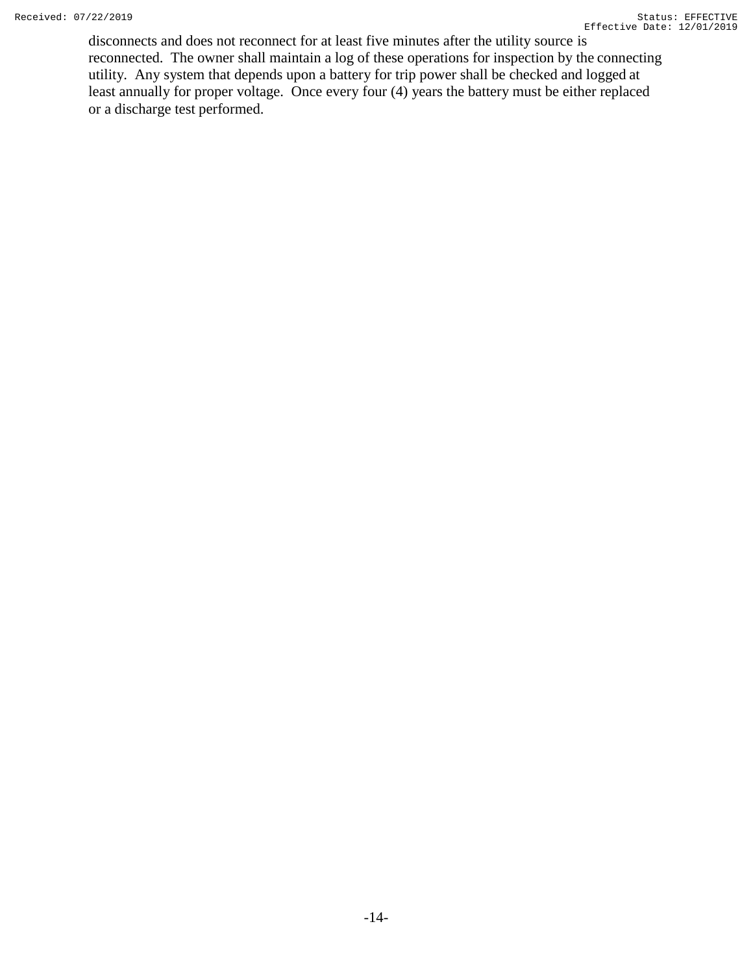disconnects and does not reconnect for at least five minutes after the utility source is reconnected. The owner shall maintain a log of these operations for inspection by the connecting utility. Any system that depends upon a battery for trip power shall be checked and logged at least annually for proper voltage. Once every four (4) years the battery must be either replaced or a discharge test performed.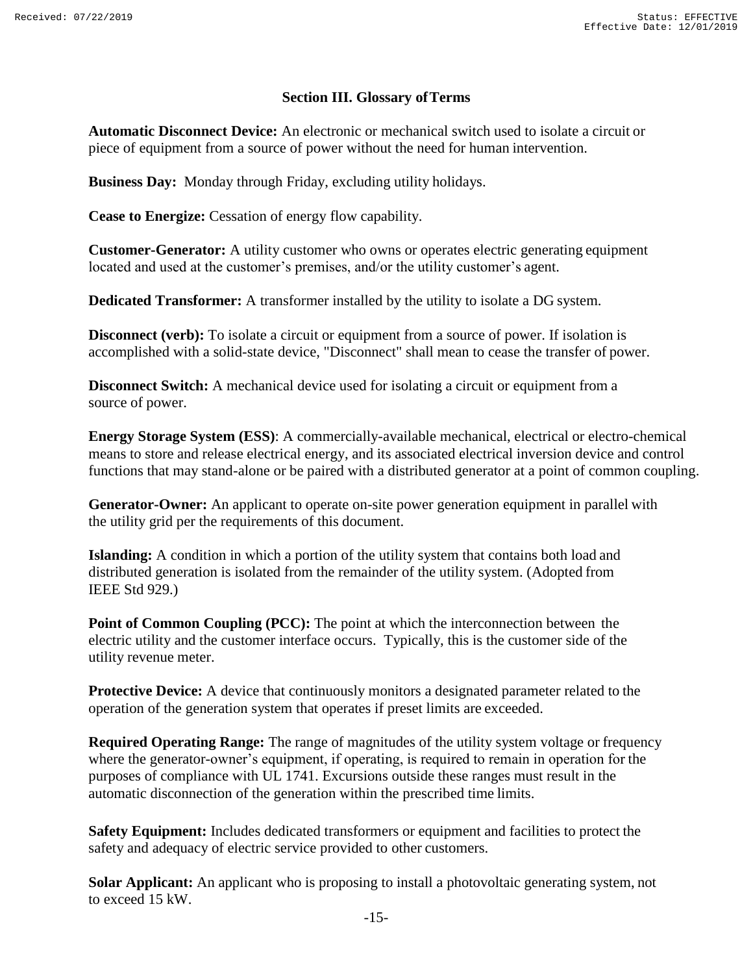#### **Section III. Glossary ofTerms**

<span id="page-14-0"></span>**Automatic Disconnect Device:** An electronic or mechanical switch used to isolate a circuit or piece of equipment from a source of power without the need for human intervention.

**Business Day:** Monday through Friday, excluding utility holidays.

**Cease to Energize:** Cessation of energy flow capability.

**Customer-Generator:** A utility customer who owns or operates electric generating equipment located and used at the customer's premises, and/or the utility customer's agent.

**Dedicated Transformer:** A transformer installed by the utility to isolate a DG system.

**Disconnect (verb):** To isolate a circuit or equipment from a source of power. If isolation is accomplished with a solid-state device, "Disconnect" shall mean to cease the transfer of power.

**Disconnect Switch:** A mechanical device used for isolating a circuit or equipment from a source of power.

**Energy Storage System (ESS)**: A commercially-available mechanical, electrical or electro-chemical means to store and release electrical energy, and its associated electrical inversion device and control functions that may stand-alone or be paired with a distributed generator at a point of common coupling.

**Generator-Owner:** An applicant to operate on-site power generation equipment in parallel with the utility grid per the requirements of this document.

**Islanding:** A condition in which a portion of the utility system that contains both load and distributed generation is isolated from the remainder of the utility system. (Adopted from IEEE Std 929.)

**Point of Common Coupling (PCC):** The point at which the interconnection between the electric utility and the customer interface occurs. Typically, this is the customer side of the utility revenue meter.

**Protective Device:** A device that continuously monitors a designated parameter related to the operation of the generation system that operates if preset limits are exceeded.

**Required Operating Range:** The range of magnitudes of the utility system voltage or frequency where the generator-owner's equipment, if operating, is required to remain in operation for the purposes of compliance with UL 1741. Excursions outside these ranges must result in the automatic disconnection of the generation within the prescribed time limits.

**Safety Equipment:** Includes dedicated transformers or equipment and facilities to protect the safety and adequacy of electric service provided to other customers.

**Solar Applicant:** An applicant who is proposing to install a photovoltaic generating system, not to exceed 15 kW.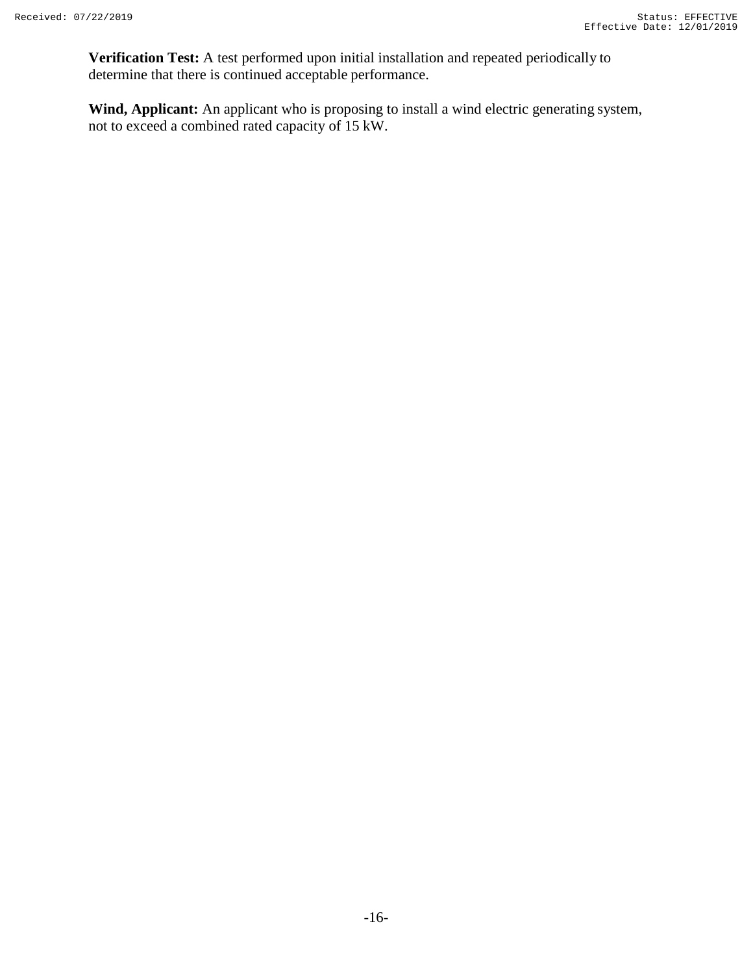**Verification Test:** A test performed upon initial installation and repeated periodically to determine that there is continued acceptable performance.

**Wind, Applicant:** An applicant who is proposing to install a wind electric generating system, not to exceed a combined rated capacity of 15 kW.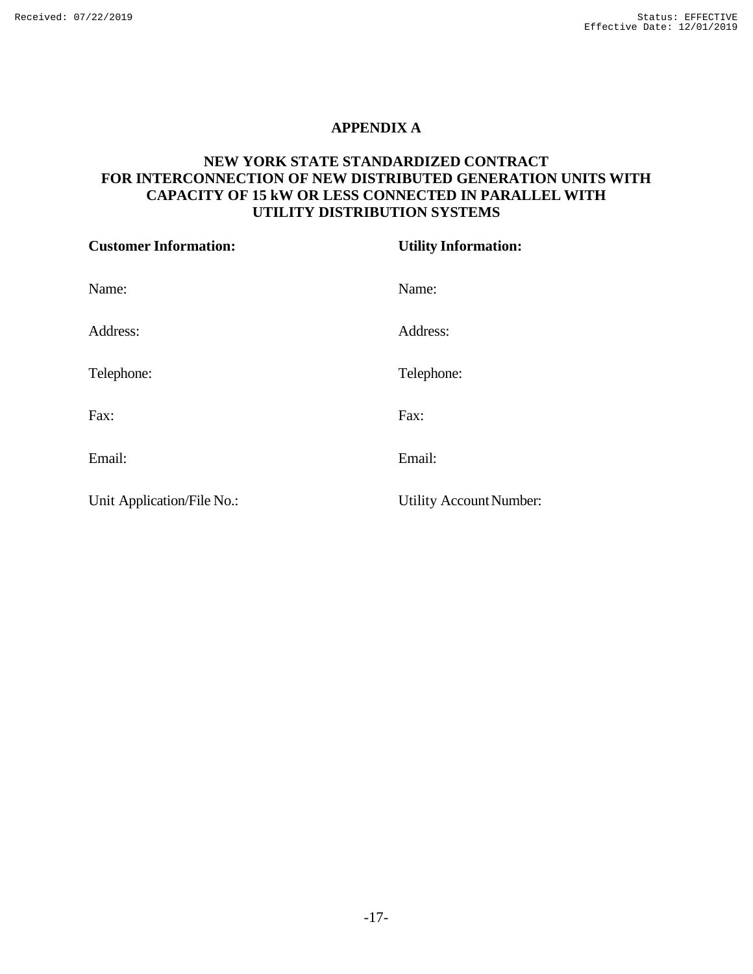### **APPENDIX A**

## <span id="page-16-0"></span>**NEW YORK STATE STANDARDIZED CONTRACT FOR INTERCONNECTION OF NEW DISTRIBUTED GENERATION UNITS WITH CAPACITY OF 15 kW OR LESS CONNECTED IN PARALLEL WITH UTILITY DISTRIBUTION SYSTEMS**

| <b>Customer Information:</b> | <b>Utility Information:</b>    |  |
|------------------------------|--------------------------------|--|
| Name:                        | Name:                          |  |
| Address:                     | Address:                       |  |
| Telephone:                   | Telephone:                     |  |
| Fax:                         | Fax:                           |  |
| Email:                       | Email:                         |  |
| Unit Application/File No.:   | <b>Utility Account Number:</b> |  |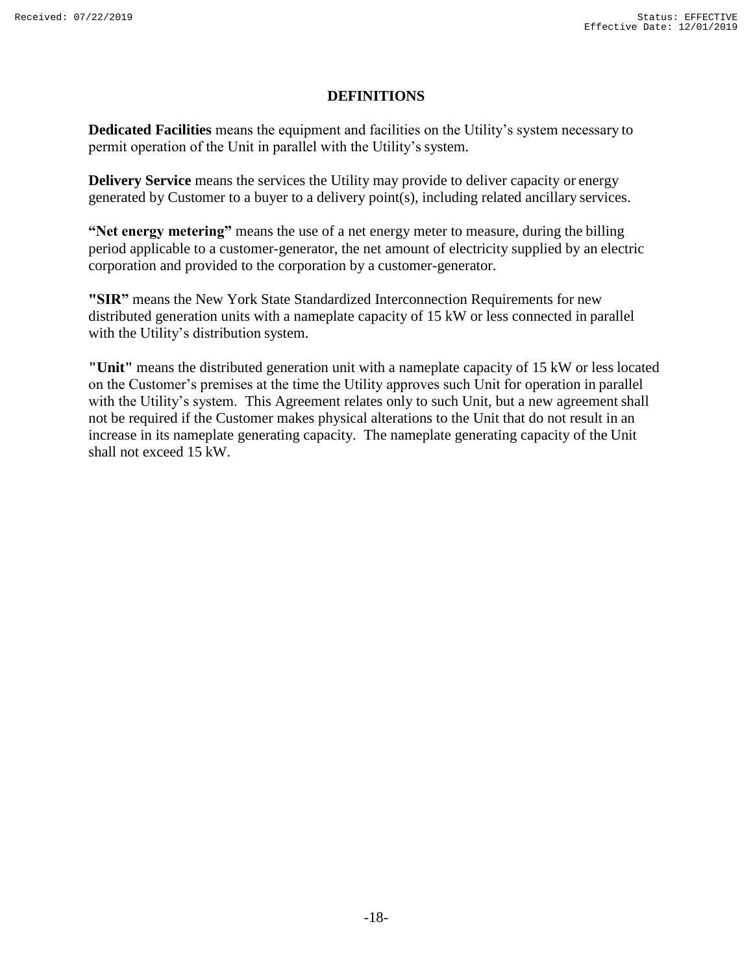#### **DEFINITIONS**

**Dedicated Facilities** means the equipment and facilities on the Utility's system necessary to permit operation of the Unit in parallel with the Utility's system.

**Delivery Service** means the services the Utility may provide to deliver capacity or energy generated by Customer to a buyer to a delivery point(s), including related ancillary services.

**"Net energy metering"** means the use of a net energy meter to measure, during the billing period applicable to a customer-generator, the net amount of electricity supplied by an electric corporation and provided to the corporation by a customer-generator.

**"SIR"** means the New York State Standardized Interconnection Requirements for new distributed generation units with a nameplate capacity of 15 kW or less connected in parallel with the Utility's distribution system.

**"Unit"** means the distributed generation unit with a nameplate capacity of 15 kW or less located on the Customer's premises at the time the Utility approves such Unit for operation in parallel with the Utility's system. This Agreement relates only to such Unit, but a new agreement shall not be required if the Customer makes physical alterations to the Unit that do not result in an increase in its nameplate generating capacity. The nameplate generating capacity of the Unit shall not exceed 15 kW.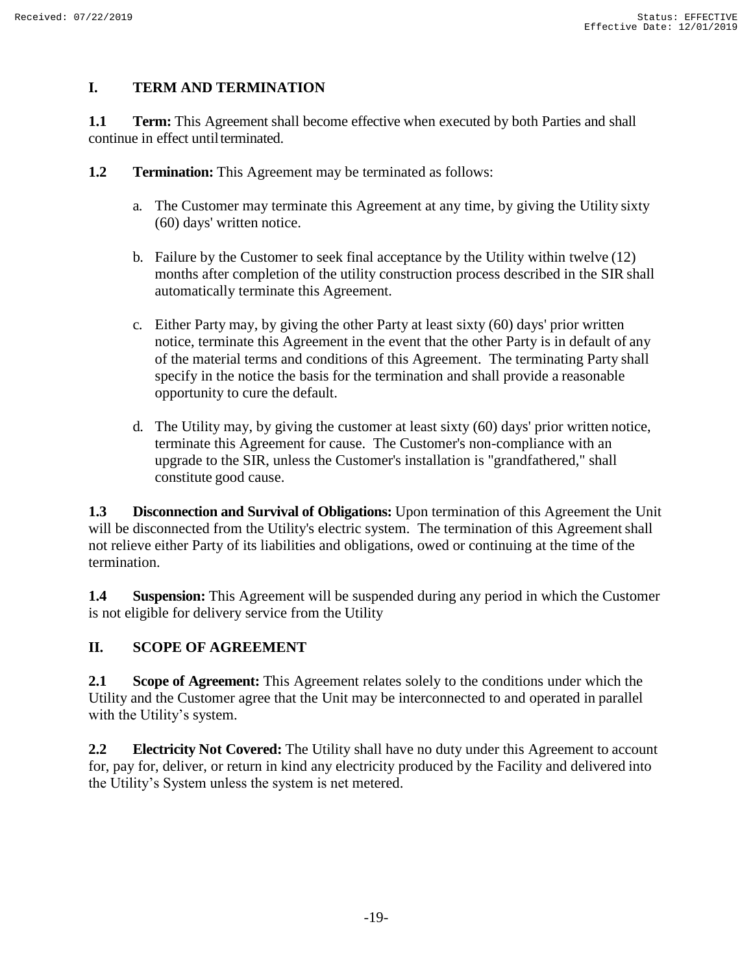# **I. TERM AND TERMINATION**

**1.1 Term:** This Agreement shall become effective when executed by both Parties and shall continue in effect until terminated.

- **1.2 Termination:** This Agreement may be terminated as follows:
	- a. The Customer may terminate this Agreement at any time, by giving the Utility sixty (60) days' written notice.
	- b. Failure by the Customer to seek final acceptance by the Utility within twelve (12) months after completion of the utility construction process described in the SIR shall automatically terminate this Agreement.
	- c. Either Party may, by giving the other Party at least sixty (60) days' prior written notice, terminate this Agreement in the event that the other Party is in default of any of the material terms and conditions of this Agreement. The terminating Party shall specify in the notice the basis for the termination and shall provide a reasonable opportunity to cure the default.
	- d. The Utility may, by giving the customer at least sixty (60) days' prior written notice, terminate this Agreement for cause. The Customer's non-compliance with an upgrade to the SIR, unless the Customer's installation is "grandfathered," shall constitute good cause.

**1.3 Disconnection and Survival of Obligations:** Upon termination of this Agreement the Unit will be disconnected from the Utility's electric system. The termination of this Agreement shall not relieve either Party of its liabilities and obligations, owed or continuing at the time of the termination.

**1.4 Suspension:** This Agreement will be suspended during any period in which the Customer is not eligible for delivery service from the Utility

# **II. SCOPE OF AGREEMENT**

**2.1 Scope of Agreement:** This Agreement relates solely to the conditions under which the Utility and the Customer agree that the Unit may be interconnected to and operated in parallel with the Utility's system.

**2.2 Electricity Not Covered:** The Utility shall have no duty under this Agreement to account for, pay for, deliver, or return in kind any electricity produced by the Facility and delivered into the Utility's System unless the system is net metered.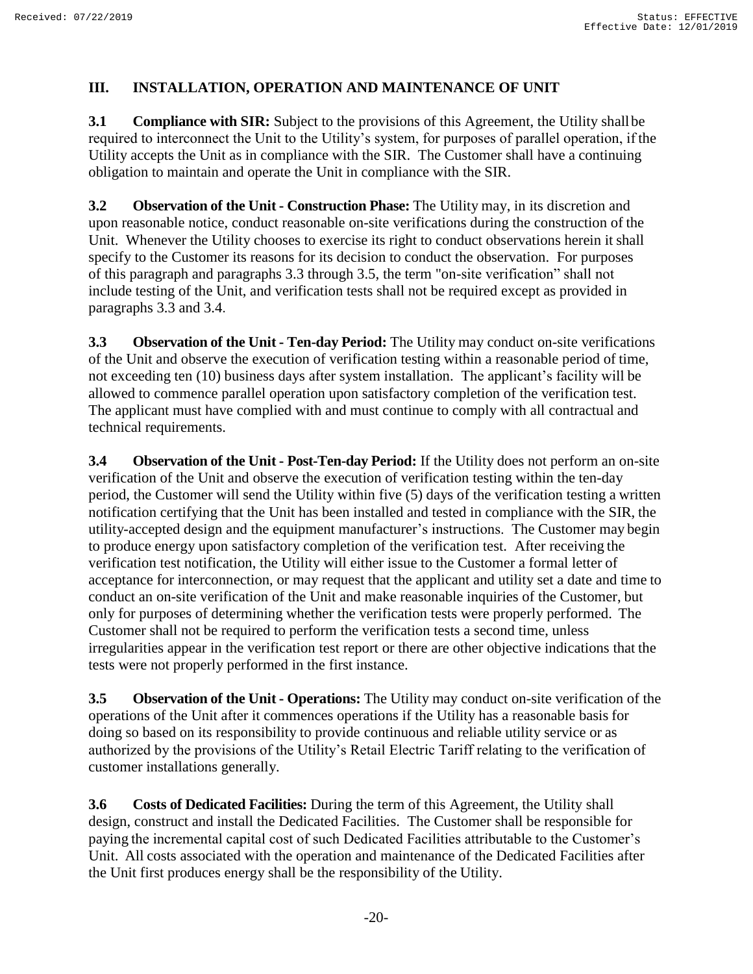# **III. INSTALLATION, OPERATION AND MAINTENANCE OF UNIT**

**3.1 Compliance with SIR:** Subject to the provisions of this Agreement, the Utility shall be required to interconnect the Unit to the Utility's system, for purposes of parallel operation, if the Utility accepts the Unit as in compliance with the SIR. The Customer shall have a continuing obligation to maintain and operate the Unit in compliance with the SIR.

**3.2 Observation of the Unit - Construction Phase:** The Utility may, in its discretion and upon reasonable notice, conduct reasonable on-site verifications during the construction of the Unit. Whenever the Utility chooses to exercise its right to conduct observations herein it shall specify to the Customer its reasons for its decision to conduct the observation. For purposes of this paragraph and paragraphs 3.3 through 3.5, the term "on-site verification" shall not include testing of the Unit, and verification tests shall not be required except as provided in paragraphs 3.3 and 3.4.

**3.3 Observation of the Unit - Ten-day Period:** The Utility may conduct on-site verifications of the Unit and observe the execution of verification testing within a reasonable period of time, not exceeding ten (10) business days after system installation. The applicant's facility will be allowed to commence parallel operation upon satisfactory completion of the verification test. The applicant must have complied with and must continue to comply with all contractual and technical requirements.

**3.4 Observation of the Unit - Post-Ten-day Period:** If the Utility does not perform an on-site verification of the Unit and observe the execution of verification testing within the ten-day period, the Customer will send the Utility within five (5) days of the verification testing a written notification certifying that the Unit has been installed and tested in compliance with the SIR, the utility-accepted design and the equipment manufacturer's instructions. The Customer may begin to produce energy upon satisfactory completion of the verification test. After receiving the verification test notification, the Utility will either issue to the Customer a formal letter of acceptance for interconnection, or may request that the applicant and utility set a date and time to conduct an on-site verification of the Unit and make reasonable inquiries of the Customer, but only for purposes of determining whether the verification tests were properly performed. The Customer shall not be required to perform the verification tests a second time, unless irregularities appear in the verification test report or there are other objective indications that the tests were not properly performed in the first instance.

**3.5 Observation of the Unit - Operations:** The Utility may conduct on-site verification of the operations of the Unit after it commences operations if the Utility has a reasonable basis for doing so based on its responsibility to provide continuous and reliable utility service or as authorized by the provisions of the Utility's Retail Electric Tariff relating to the verification of customer installations generally.

**3.6 Costs of Dedicated Facilities:** During the term of this Agreement, the Utility shall design, construct and install the Dedicated Facilities. The Customer shall be responsible for paying the incremental capital cost of such Dedicated Facilities attributable to the Customer's Unit. All costs associated with the operation and maintenance of the Dedicated Facilities after the Unit first produces energy shall be the responsibility of the Utility.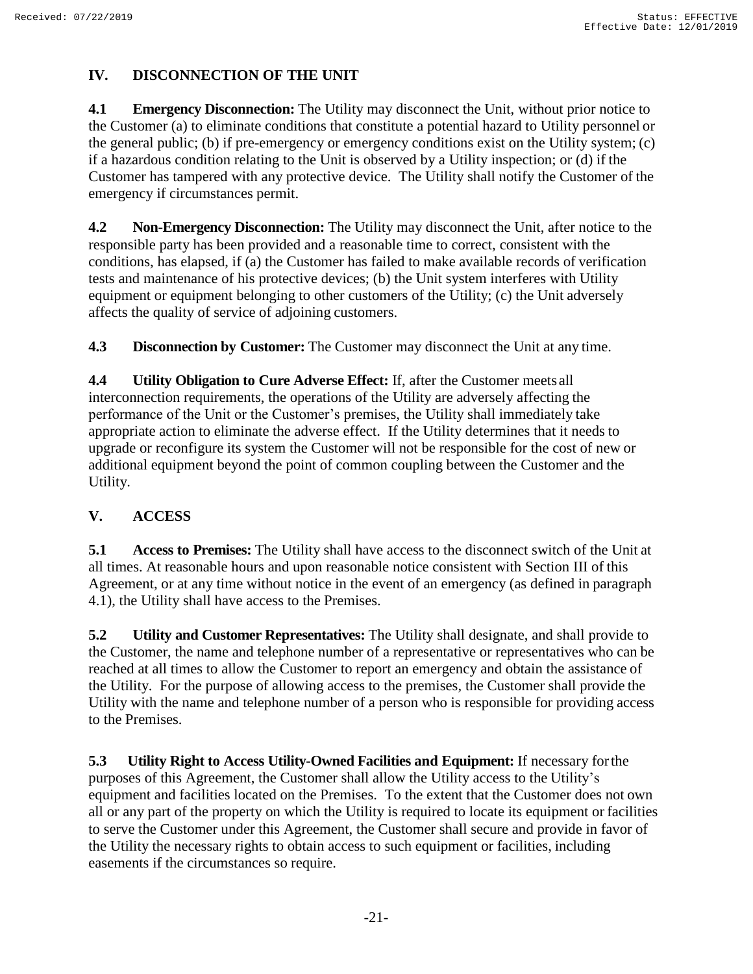# **IV. DISCONNECTION OF THE UNIT**

**4.1 Emergency Disconnection:** The Utility may disconnect the Unit, without prior notice to the Customer (a) to eliminate conditions that constitute a potential hazard to Utility personnel or the general public; (b) if pre-emergency or emergency conditions exist on the Utility system; (c) if a hazardous condition relating to the Unit is observed by a Utility inspection; or (d) if the Customer has tampered with any protective device. The Utility shall notify the Customer of the emergency if circumstances permit.

**4.2 Non-Emergency Disconnection:** The Utility may disconnect the Unit, after notice to the responsible party has been provided and a reasonable time to correct, consistent with the conditions, has elapsed, if (a) the Customer has failed to make available records of verification tests and maintenance of his protective devices; (b) the Unit system interferes with Utility equipment or equipment belonging to other customers of the Utility; (c) the Unit adversely affects the quality of service of adjoining customers.

**4.3 Disconnection by Customer:** The Customer may disconnect the Unit at any time.

**4.4 Utility Obligation to Cure Adverse Effect:** If, after the Customer meets all interconnection requirements, the operations of the Utility are adversely affecting the performance of the Unit or the Customer's premises, the Utility shall immediately take appropriate action to eliminate the adverse effect. If the Utility determines that it needs to upgrade or reconfigure its system the Customer will not be responsible for the cost of new or additional equipment beyond the point of common coupling between the Customer and the Utility.

# **V. ACCESS**

**5.1 Access to Premises:** The Utility shall have access to the disconnect switch of the Unit at all times. At reasonable hours and upon reasonable notice consistent with Section III of this Agreement, or at any time without notice in the event of an emergency (as defined in paragraph 4.1), the Utility shall have access to the Premises.

**5.2 Utility and Customer Representatives:** The Utility shall designate, and shall provide to the Customer, the name and telephone number of a representative or representatives who can be reached at all times to allow the Customer to report an emergency and obtain the assistance of the Utility. For the purpose of allowing access to the premises, the Customer shall provide the Utility with the name and telephone number of a person who is responsible for providing access to the Premises.

**5.3 Utility Right to Access Utility-Owned Facilities and Equipment:** If necessary forthe purposes of this Agreement, the Customer shall allow the Utility access to the Utility's equipment and facilities located on the Premises. To the extent that the Customer does not own all or any part of the property on which the Utility is required to locate its equipment or facilities to serve the Customer under this Agreement, the Customer shall secure and provide in favor of the Utility the necessary rights to obtain access to such equipment or facilities, including easements if the circumstances so require.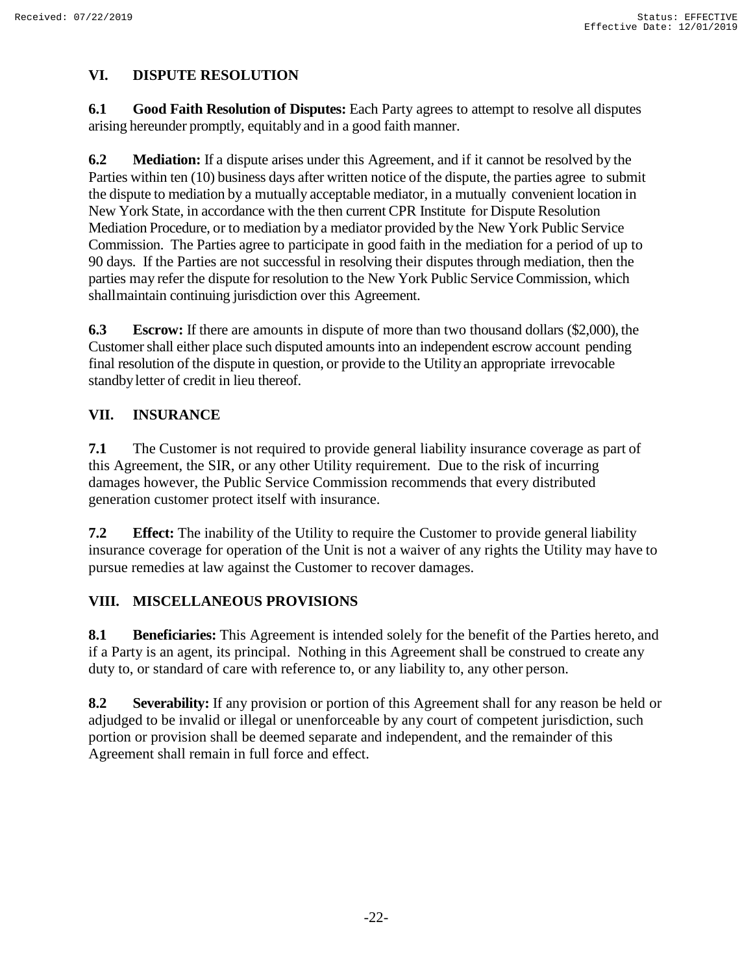# **VI. DISPUTE RESOLUTION**

**6.1 Good Faith Resolution of Disputes:** Each Party agrees to attempt to resolve all disputes arising hereunder promptly, equitably and in a good faith manner.

**6.2 Mediation:** If a dispute arises under this Agreement, and if it cannot be resolved by the Parties within ten (10) business days after written notice of the dispute, the parties agree to submit the dispute to mediation by a mutually acceptable mediator, in a mutually convenient location in New York State, in accordance with the then current CPR Institute for Dispute Resolution Mediation Procedure, or to mediation by a mediator provided by the New York Public Service Commission. The Parties agree to participate in good faith in the mediation for a period of up to 90 days. If the Parties are not successful in resolving their disputes through mediation, then the parties may refer the dispute for resolution to the New York Public Service Commission, which shallmaintain continuing jurisdiction over this Agreement.

**6.3 Escrow:** If there are amounts in dispute of more than two thousand dollars (\$2,000), the Customer shall either place such disputed amounts into an independent escrow account pending final resolution of the dispute in question, or provide to the Utilityan appropriate irrevocable standbyletter of credit in lieu thereof.

### **VII. INSURANCE**

**7.1** The Customer is not required to provide general liability insurance coverage as part of this Agreement, the SIR, or any other Utility requirement. Due to the risk of incurring damages however, the Public Service Commission recommends that every distributed generation customer protect itself with insurance.

**7.2 Effect:** The inability of the Utility to require the Customer to provide general liability insurance coverage for operation of the Unit is not a waiver of any rights the Utility may have to pursue remedies at law against the Customer to recover damages.

# **VIII. MISCELLANEOUS PROVISIONS**

**8.1 Beneficiaries:** This Agreement is intended solely for the benefit of the Parties hereto, and if a Party is an agent, its principal. Nothing in this Agreement shall be construed to create any duty to, or standard of care with reference to, or any liability to, any other person.

**8.2 Severability:** If any provision or portion of this Agreement shall for any reason be held or adjudged to be invalid or illegal or unenforceable by any court of competent jurisdiction, such portion or provision shall be deemed separate and independent, and the remainder of this Agreement shall remain in full force and effect.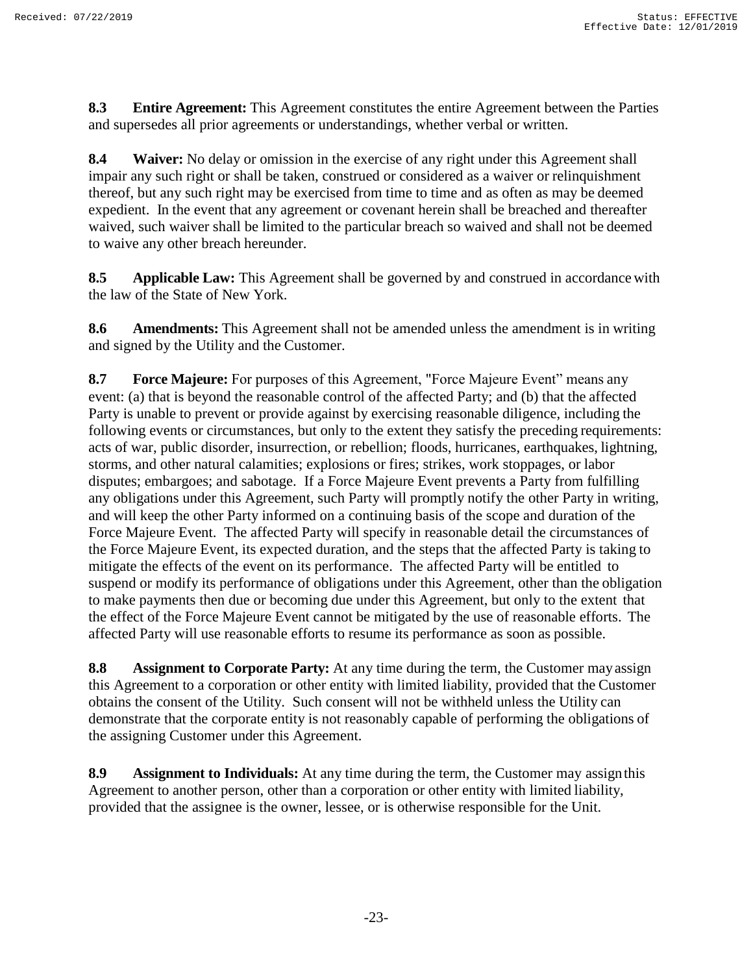**8.3 Entire Agreement:** This Agreement constitutes the entire Agreement between the Parties and supersedes all prior agreements or understandings, whether verbal or written.

**8.4 Waiver:** No delay or omission in the exercise of any right under this Agreement shall impair any such right or shall be taken, construed or considered as a waiver or relinquishment thereof, but any such right may be exercised from time to time and as often as may be deemed expedient. In the event that any agreement or covenant herein shall be breached and thereafter waived, such waiver shall be limited to the particular breach so waived and shall not be deemed to waive any other breach hereunder.

**8.5 Applicable Law:** This Agreement shall be governed by and construed in accordancewith the law of the State of New York.

**8.6 Amendments:** This Agreement shall not be amended unless the amendment is in writing and signed by the Utility and the Customer.

**8.7 Force Majeure:** For purposes of this Agreement, "Force Majeure Event" means any event: (a) that is beyond the reasonable control of the affected Party; and (b) that the affected Party is unable to prevent or provide against by exercising reasonable diligence, including the following events or circumstances, but only to the extent they satisfy the preceding requirements: acts of war, public disorder, insurrection, or rebellion; floods, hurricanes, earthquakes, lightning, storms, and other natural calamities; explosions or fires; strikes, work stoppages, or labor disputes; embargoes; and sabotage. If a Force Majeure Event prevents a Party from fulfilling any obligations under this Agreement, such Party will promptly notify the other Party in writing, and will keep the other Party informed on a continuing basis of the scope and duration of the Force Majeure Event. The affected Party will specify in reasonable detail the circumstances of the Force Majeure Event, its expected duration, and the steps that the affected Party is taking to mitigate the effects of the event on its performance. The affected Party will be entitled to suspend or modify its performance of obligations under this Agreement, other than the obligation to make payments then due or becoming due under this Agreement, but only to the extent that the effect of the Force Majeure Event cannot be mitigated by the use of reasonable efforts. The affected Party will use reasonable efforts to resume its performance as soon as possible.

**8.8 Assignment to Corporate Party:** At any time during the term, the Customer mayassign this Agreement to a corporation or other entity with limited liability, provided that the Customer obtains the consent of the Utility. Such consent will not be withheld unless the Utility can demonstrate that the corporate entity is not reasonably capable of performing the obligations of the assigning Customer under this Agreement.

**8.9 Assignment to Individuals:** At any time during the term, the Customer may assignthis Agreement to another person, other than a corporation or other entity with limited liability, provided that the assignee is the owner, lessee, or is otherwise responsible for the Unit.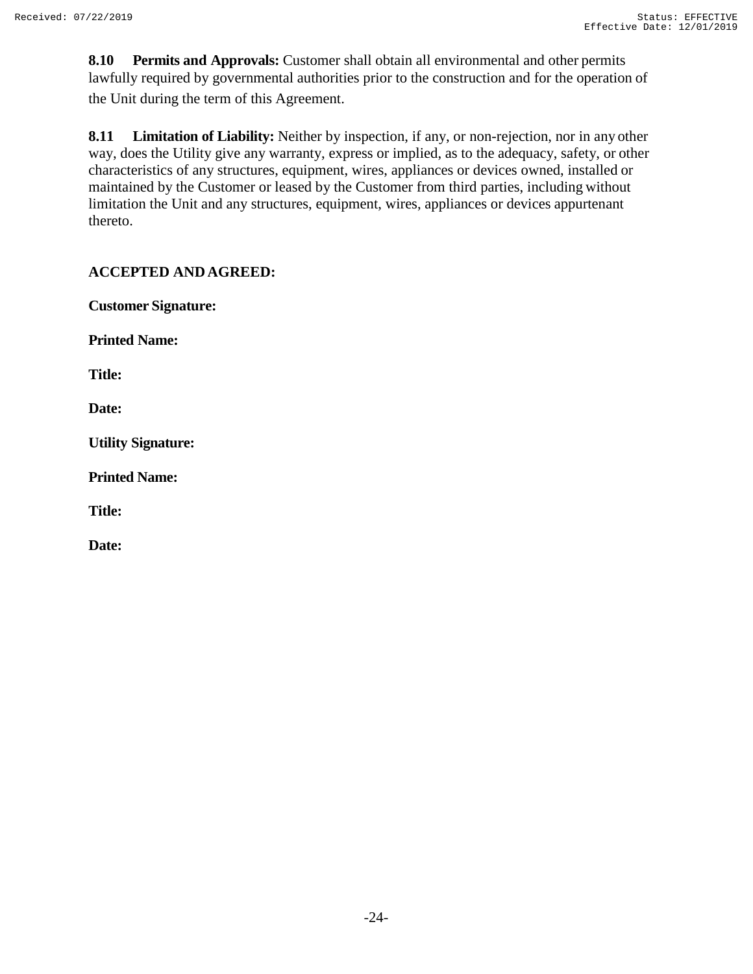**8.10 Permits and Approvals:** Customer shall obtain all environmental and other permits lawfully required by governmental authorities prior to the construction and for the operation of the Unit during the term of this Agreement.

**8.11 Limitation of Liability:** Neither by inspection, if any, or non-rejection, nor in any other way, does the Utility give any warranty, express or implied, as to the adequacy, safety, or other characteristics of any structures, equipment, wires, appliances or devices owned, installed or maintained by the Customer or leased by the Customer from third parties, including without limitation the Unit and any structures, equipment, wires, appliances or devices appurtenant thereto.

# **ACCEPTED AND AGREED:**

**Customer Signature:**

**Printed Name:**

**Title:**

**Date:**

**Utility Signature:**

**Printed Name:**

**Title:**

**Date:**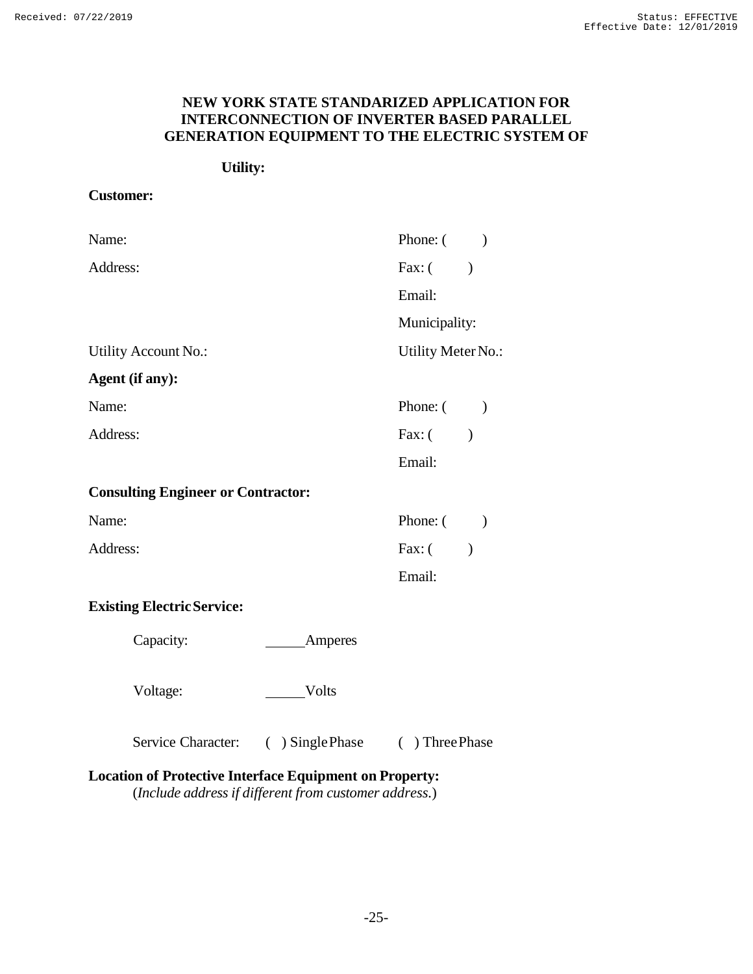## **NEW YORK STATE STANDARIZED APPLICATION FOR INTERCONNECTION OF INVERTER BASED PARALLEL GENERATION EQUIPMENT TO THE ELECTRIC SYSTEM OF**

### **Utility:**

### **Customer:**

| Name:    |                                           |                    | Phone: $($ )       |         |
|----------|-------------------------------------------|--------------------|--------------------|---------|
| Address: |                                           |                    | Fax: $($           |         |
|          |                                           |                    | Email:             |         |
|          |                                           |                    | Municipality:      |         |
|          | Utility Account No.:                      |                    | Utility Meter No.: |         |
|          | Agent (if any):                           |                    |                    |         |
| Name:    |                                           |                    | Phone: $($         |         |
| Address: |                                           |                    | Fax: $($           |         |
|          |                                           |                    | Email:             |         |
|          | <b>Consulting Engineer or Contractor:</b> |                    |                    |         |
| Name:    |                                           |                    | Phone: $($ )       |         |
| Address: |                                           |                    | Fax: (             | $\big)$ |
|          |                                           |                    | Email:             |         |
|          | <b>Existing Electric Service:</b>         |                    |                    |         |
|          | Capacity:                                 | Amperes            |                    |         |
|          | Voltage:                                  | Volts              |                    |         |
|          | <b>Service Character:</b>                 | $( )$ Single Phase | () Three Phase     |         |

# **Location of Protective Interface Equipment on Property:**

(*Include address if different from customer address.*)